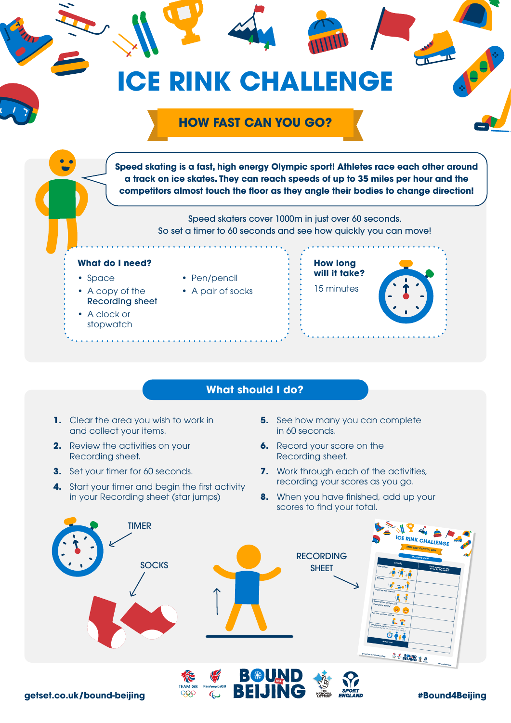

Recording sheet • A clock or

stopwatch



## **What should I do?**

- **1.** Clear the area you wish to work in and collect your items.
- **2.** Review the activities on your Recording sheet.
- **3.** Set your timer for 60 seconds.
- **4.** Start your timer and begin the first activity in your Recording sheet (star jumps)
- **5.** See how many you can complete in 60 seconds.
- **6.** Record your score on the Recording sheet.
- **7.** Work through each of the activities, recording your scores as you go.
- **8.** When you have finished, add up your scores to find your total.

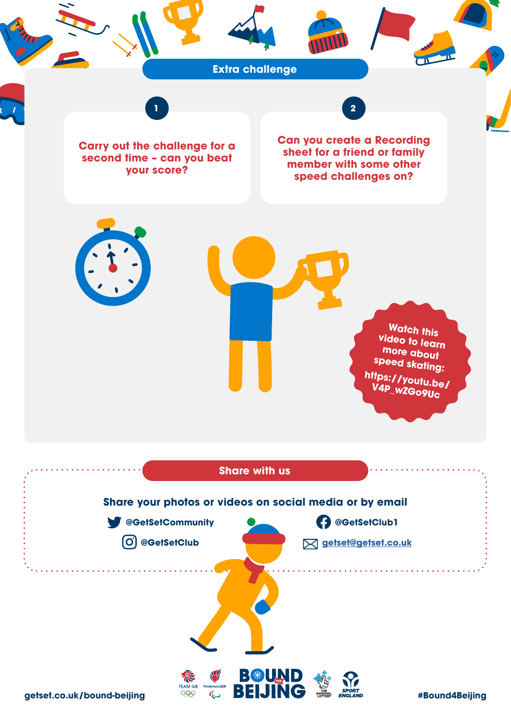